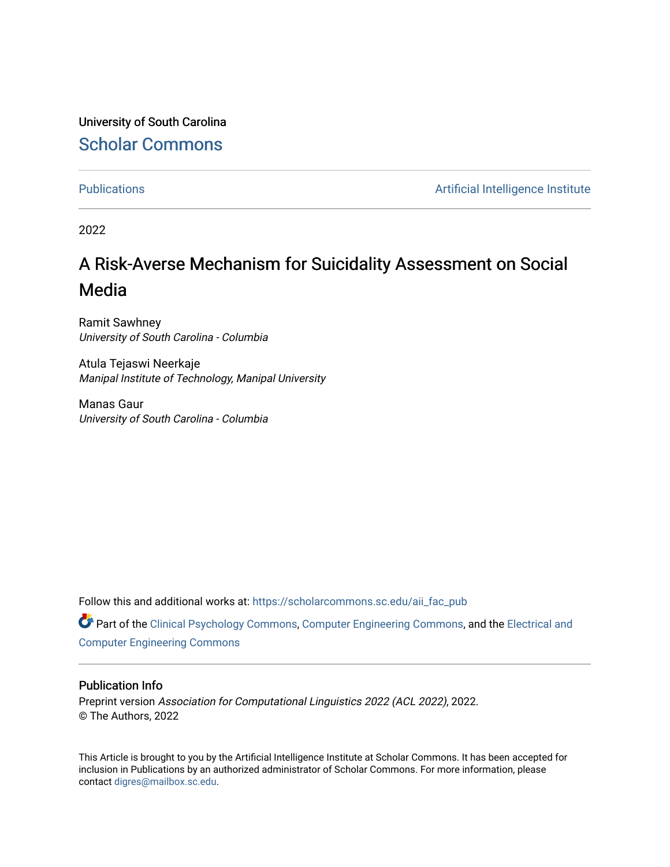University of South Carolina [Scholar Commons](https://scholarcommons.sc.edu/) 

[Publications](https://scholarcommons.sc.edu/aii_fac_pub) **Artificial Intelligence Institute Artificial Intelligence Institute** 

2022

# A Risk-Averse Mechanism for Suicidality Assessment on Social Media

Ramit Sawhney University of South Carolina - Columbia

Atula Tejaswi Neerkaje Manipal Institute of Technology, Manipal University

Manas Gaur University of South Carolina - Columbia

Follow this and additional works at: [https://scholarcommons.sc.edu/aii\\_fac\\_pub](https://scholarcommons.sc.edu/aii_fac_pub?utm_source=scholarcommons.sc.edu%2Faii_fac_pub%2F538&utm_medium=PDF&utm_campaign=PDFCoverPages)

Part of the [Clinical Psychology Commons,](http://network.bepress.com/hgg/discipline/406?utm_source=scholarcommons.sc.edu%2Faii_fac_pub%2F538&utm_medium=PDF&utm_campaign=PDFCoverPages) [Computer Engineering Commons,](http://network.bepress.com/hgg/discipline/258?utm_source=scholarcommons.sc.edu%2Faii_fac_pub%2F538&utm_medium=PDF&utm_campaign=PDFCoverPages) and the [Electrical and](http://network.bepress.com/hgg/discipline/266?utm_source=scholarcommons.sc.edu%2Faii_fac_pub%2F538&utm_medium=PDF&utm_campaign=PDFCoverPages)  [Computer Engineering Commons](http://network.bepress.com/hgg/discipline/266?utm_source=scholarcommons.sc.edu%2Faii_fac_pub%2F538&utm_medium=PDF&utm_campaign=PDFCoverPages)

# Publication Info

Preprint version Association for Computational Linguistics 2022 (ACL 2022), 2022. © The Authors, 2022

This Article is brought to you by the Artificial Intelligence Institute at Scholar Commons. It has been accepted for inclusion in Publications by an authorized administrator of Scholar Commons. For more information, please contact [digres@mailbox.sc.edu.](mailto:digres@mailbox.sc.edu)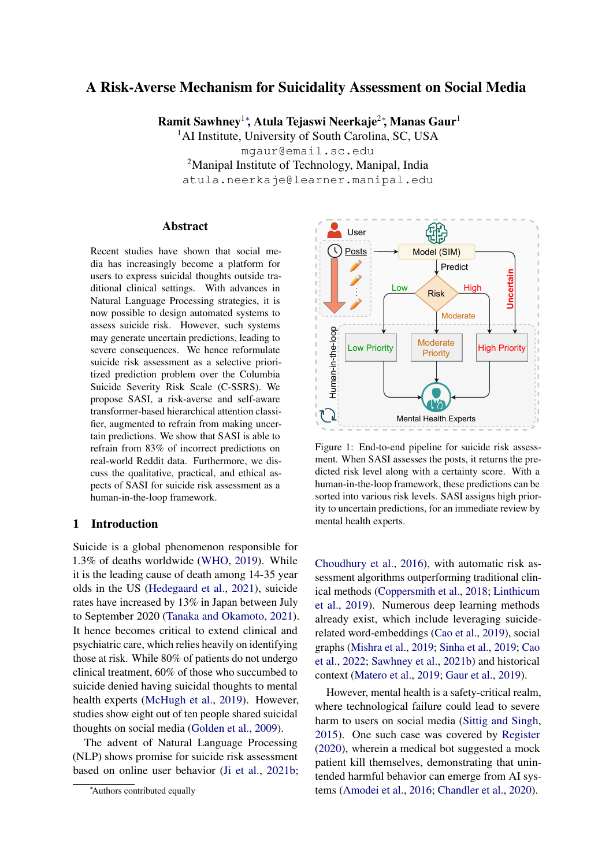# A Risk-Averse Mechanism for Suicidality Assessment on Social Media

Ramit Sawhney<sup>1∗</sup>, Atula Tejaswi Neerkaje<sup>2</sup>\*, Manas Gaur<sup>1</sup>

<sup>1</sup>AI Institute, University of South Carolina, SC, USA mgaur@email.sc.edu <sup>2</sup>Manipal Institute of Technology, Manipal, India atula.neerkaje@learner.manipal.edu

#### Abstract

Recent studies have shown that social media has increasingly become a platform for users to express suicidal thoughts outside traditional clinical settings. With advances in Natural Language Processing strategies, it is now possible to design automated systems to assess suicide risk. However, such systems may generate uncertain predictions, leading to severe consequences. We hence reformulate suicide risk assessment as a selective prioritized prediction problem over the Columbia Suicide Severity Risk Scale (C-SSRS). We propose SASI, a risk-averse and self-aware transformer-based hierarchical attention classifier, augmented to refrain from making uncertain predictions. We show that SASI is able to refrain from 83% of incorrect predictions on real-world Reddit data. Furthermore, we discuss the qualitative, practical, and ethical aspects of SASI for suicide risk assessment as a human-in-the-loop framework.

# 1 Introduction

Suicide is a global phenomenon responsible for 1.3% of deaths worldwide [\(WHO,](#page-8-0) [2019\)](#page-8-0). While it is the leading cause of death among 14-35 year olds in the US [\(Hedegaard et al.,](#page-7-0) [2021\)](#page-7-0), suicide rates have increased by 13% in Japan between July to September 2020 [\(Tanaka and Okamoto,](#page-8-1) [2021\)](#page-8-1). It hence becomes critical to extend clinical and psychiatric care, which relies heavily on identifying those at risk. While 80% of patients do not undergo clinical treatment, 60% of those who succumbed to suicide denied having suicidal thoughts to mental health experts [\(McHugh et al.,](#page-8-2) [2019\)](#page-8-2). However, studies show eight out of ten people shared suicidal thoughts on social media [\(Golden et al.,](#page-7-1) [2009\)](#page-7-1).

The advent of Natural Language Processing (NLP) shows promise for suicide risk assessment based on online user behavior [\(Ji et al.,](#page-7-2) [2021b;](#page-7-2)

<span id="page-1-0"></span>

Figure 1: End-to-end pipeline for suicide risk assessment. When SASI assesses the posts, it returns the predicted risk level along with a certainty score. With a human-in-the-loop framework, these predictions can be sorted into various risk levels. SASI assigns high priority to uncertain predictions, for an immediate review by mental health experts.

[Choudhury et al.,](#page-6-0) [2016\)](#page-6-0), with automatic risk assessment algorithms outperforming traditional clinical methods [\(Coppersmith et al.,](#page-7-3) [2018;](#page-7-3) [Linthicum](#page-7-4) [et al.,](#page-7-4) [2019\)](#page-7-4). Numerous deep learning methods already exist, which include leveraging suiciderelated word-embeddings [\(Cao et al.,](#page-6-1) [2019\)](#page-6-1), social graphs [\(Mishra et al.,](#page-8-3) [2019;](#page-8-3) [Sinha et al.,](#page-8-4) [2019;](#page-8-4) [Cao](#page-6-2) [et al.,](#page-6-2) [2022;](#page-6-2) [Sawhney et al.,](#page-8-5) [2021b\)](#page-8-5) and historical context [\(Matero et al.,](#page-7-5) [2019;](#page-7-5) [Gaur et al.,](#page-7-6) [2019\)](#page-7-6).

However, mental health is a safety-critical realm, where technological failure could lead to severe harm to users on social media [\(Sittig and Singh,](#page-8-6) [2015\)](#page-8-6). One such case was covered by [Register](#page-8-7) [\(2020\)](#page-8-7), wherein a medical bot suggested a mock patient kill themselves, demonstrating that unintended harmful behavior can emerge from AI systems [\(Amodei et al.,](#page-6-3) [2016;](#page-6-3) [Chandler et al.,](#page-6-4) [2020\)](#page-6-4).

<sup>∗</sup>Authors contributed equally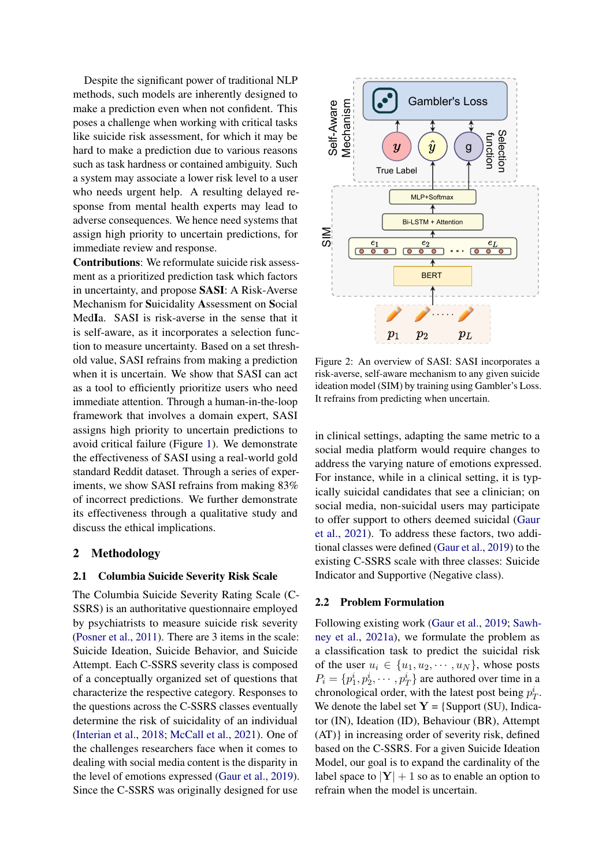Despite the significant power of traditional NLP methods, such models are inherently designed to make a prediction even when not confident. This poses a challenge when working with critical tasks like suicide risk assessment, for which it may be hard to make a prediction due to various reasons such as task hardness or contained ambiguity. Such a system may associate a lower risk level to a user who needs urgent help. A resulting delayed response from mental health experts may lead to adverse consequences. We hence need systems that assign high priority to uncertain predictions, for immediate review and response.

Contributions: We reformulate suicide risk assessment as a prioritized prediction task which factors in uncertainty, and propose SASI: A Risk-Averse Mechanism for Suicidality Assessment on Social MedIa. SASI is risk-averse in the sense that it is self-aware, as it incorporates a selection function to measure uncertainty. Based on a set threshold value, SASI refrains from making a prediction when it is uncertain. We show that SASI can act as a tool to efficiently prioritize users who need immediate attention. Through a human-in-the-loop framework that involves a domain expert, SASI assigns high priority to uncertain predictions to avoid critical failure (Figure [1\)](#page-1-0). We demonstrate the effectiveness of SASI using a real-world gold standard Reddit dataset. Through a series of experiments, we show SASI refrains from making 83% of incorrect predictions. We further demonstrate its effectiveness through a qualitative study and discuss the ethical implications.

#### 2 Methodology

#### 2.1 Columbia Suicide Severity Risk Scale

The Columbia Suicide Severity Rating Scale (C-SSRS) is an authoritative questionnaire employed by psychiatrists to measure suicide risk severity [\(Posner et al.,](#page-8-8) [2011\)](#page-8-8). There are 3 items in the scale: Suicide Ideation, Suicide Behavior, and Suicide Attempt. Each C-SSRS severity class is composed of a conceptually organized set of questions that characterize the respective category. Responses to the questions across the C-SSRS classes eventually determine the risk of suicidality of an individual [\(Interian et al.,](#page-7-7) [2018;](#page-7-7) [McCall et al.,](#page-7-8) [2021\)](#page-7-8). One of the challenges researchers face when it comes to dealing with social media content is the disparity in the level of emotions expressed [\(Gaur et al.,](#page-7-6) [2019\)](#page-7-6). Since the C-SSRS was originally designed for use

<span id="page-2-0"></span>

Figure 2: An overview of SASI: SASI incorporates a risk-averse, self-aware mechanism to any given suicide ideation model (SIM) by training using Gambler's Loss. It refrains from predicting when uncertain.

in clinical settings, adapting the same metric to a social media platform would require changes to address the varying nature of emotions expressed. For instance, while in a clinical setting, it is typically suicidal candidates that see a clinician; on social media, non-suicidal users may participate to offer support to others deemed suicidal [\(Gaur](#page-7-9) [et al.,](#page-7-9) [2021\)](#page-7-9). To address these factors, two additional classes were defined [\(Gaur et al.,](#page-7-6) [2019\)](#page-7-6) to the existing C-SSRS scale with three classes: Suicide Indicator and Supportive (Negative class).

#### 2.2 Problem Formulation

Following existing work [\(Gaur et al.,](#page-7-6) [2019;](#page-7-6) [Sawh](#page-8-9)[ney et al.,](#page-8-9) [2021a\)](#page-8-9), we formulate the problem as a classification task to predict the suicidal risk of the user  $u_i \in \{u_1, u_2, \dots, u_N\}$ , whose posts  $P_i = \{p_1^i, p_2^i, \cdots, p_T^i\}$  are authored over time in a chronological order, with the latest post being  $p_T^i$ . We denote the label set  $Y = \{ \text{Support (SU)}, \text{India} \}$ tor (IN), Ideation (ID), Behaviour (BR), Attempt (AT)} in increasing order of severity risk, defined based on the C-SSRS. For a given Suicide Ideation Model, our goal is to expand the cardinality of the label space to  $|Y| + 1$  so as to enable an option to refrain when the model is uncertain.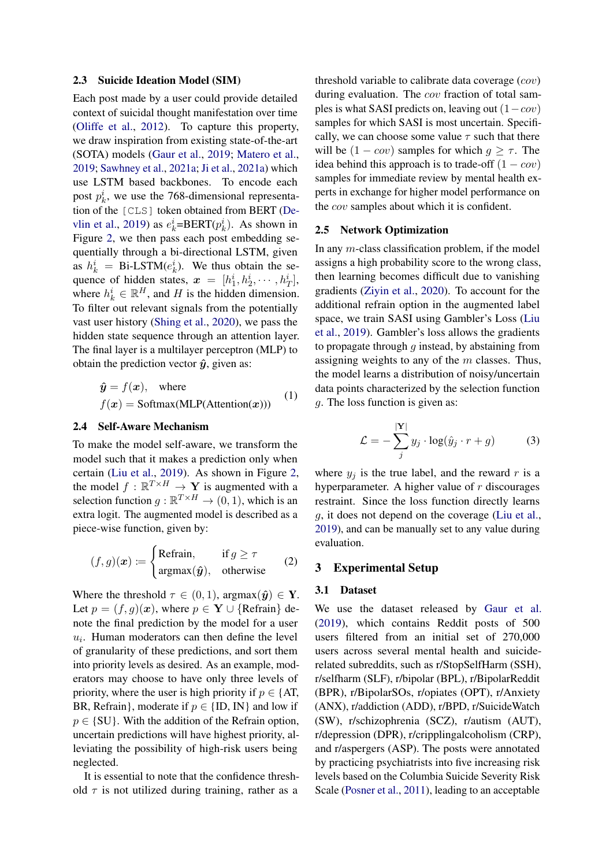#### 2.3 Suicide Ideation Model (SIM)

Each post made by a user could provide detailed context of suicidal thought manifestation over time [\(Oliffe et al.,](#page-8-10) [2012\)](#page-8-10). To capture this property, we draw inspiration from existing state-of-the-art (SOTA) models [\(Gaur et al.,](#page-7-6) [2019;](#page-7-6) [Matero et al.,](#page-7-5) [2019;](#page-7-5) [Sawhney et al.,](#page-8-9) [2021a;](#page-8-9) [Ji et al.,](#page-7-10) [2021a\)](#page-7-10) which use LSTM based backbones. To encode each post  $p_k^i$ , we use the 768-dimensional representation of the [CLS] token obtained from BERT [\(De](#page-7-11)[vlin et al.,](#page-7-11) [2019\)](#page-7-11) as  $e_k^i = BERT(p_k^i)$ . As shown in Figure [2,](#page-2-0) we then pass each post embedding sequentially through a bi-directional LSTM, given as  $h_k^i = \text{Bi-LSTM}(e_k^i)$ . We thus obtain the sequence of hidden states,  $\boldsymbol{x} = [h_1^i, h_2^i, \cdots, h_T^i],$ where  $h_k^i \in \mathbb{R}^H$ , and H is the hidden dimension. To filter out relevant signals from the potentially vast user history [\(Shing et al.,](#page-8-11) [2020\)](#page-8-11), we pass the hidden state sequence through an attention layer. The final layer is a multilayer perceptron (MLP) to obtain the prediction vector  $\hat{y}$ , given as:

$$
\hat{y} = f(x)
$$
, where  
\n $f(x) = \text{Softmax}(MLP(\text{Attention}(x)))$  (1)

#### 2.4 Self-Aware Mechanism

To make the model self-aware, we transform the model such that it makes a prediction only when certain [\(Liu et al.,](#page-7-12) [2019\)](#page-7-12). As shown in Figure [2,](#page-2-0) the model  $f : \mathbb{R}^{T \times H} \to Y$  is augmented with a selection function  $g : \mathbb{R}^{T \times H} \to (0, 1)$ , which is an extra logit. The augmented model is described as a piece-wise function, given by:

$$
(f,g)(x) := \begin{cases} \text{Refrain}, & \text{if } g \ge \tau \\ \text{argmax}(\hat{y}), & \text{otherwise} \end{cases} \tag{2}
$$

Where the threshold  $\tau \in (0, 1)$ , argmax $(\hat{y}) \in Y$ . Let  $p = (f, g)(x)$ , where  $p \in Y \cup \{Refrain\}$  denote the final prediction by the model for a user  $u_i$ . Human moderators can then define the level of granularity of these predictions, and sort them into priority levels as desired. As an example, moderators may choose to have only three levels of priority, where the user is high priority if  $p \in \{AT,$ BR, Refrain}, moderate if  $p \in \{ID, IN\}$  and low if  $p \in \{SU\}$ . With the addition of the Refrain option, uncertain predictions will have highest priority, alleviating the possibility of high-risk users being neglected.

It is essential to note that the confidence threshold  $\tau$  is not utilized during training, rather as a

threshold variable to calibrate data coverage (cov) during evaluation. The *cov* fraction of total samples is what SASI predicts on, leaving out  $(1-cov)$ samples for which SASI is most uncertain. Specifically, we can choose some value  $\tau$  such that there will be  $(1 - cov)$  samples for which  $g \geq \tau$ . The idea behind this approach is to trade-off  $(1 - cov)$ samples for immediate review by mental health experts in exchange for higher model performance on the cov samples about which it is confident.

#### 2.5 Network Optimization

In any  $m$ -class classification problem, if the model assigns a high probability score to the wrong class, then learning becomes difficult due to vanishing gradients [\(Ziyin et al.,](#page-8-12) [2020\)](#page-8-12). To account for the additional refrain option in the augmented label space, we train SASI using Gambler's Loss [\(Liu](#page-7-12) [et al.,](#page-7-12) [2019\)](#page-7-12). Gambler's loss allows the gradients to propagate through  $q$  instead, by abstaining from assigning weights to any of the  $m$  classes. Thus, the model learns a distribution of noisy/uncertain data points characterized by the selection function g. The loss function is given as:

$$
\mathcal{L} = -\sum_{j}^{|\mathbf{Y}|} y_j \cdot \log(\hat{y}_j \cdot r + g) \tag{3}
$$

where  $y_i$  is the true label, and the reward r is a hyperparameter. A higher value of  $r$  discourages restraint. Since the loss function directly learns g, it does not depend on the coverage [\(Liu et al.,](#page-7-12) [2019\)](#page-7-12), and can be manually set to any value during evaluation.

# 3 Experimental Setup

#### 3.1 Dataset

We use the dataset released by [Gaur et al.](#page-7-6) [\(2019\)](#page-7-6), which contains Reddit posts of 500 users filtered from an initial set of 270,000 users across several mental health and suiciderelated subreddits, such as r/StopSelfHarm (SSH), r/selfharm (SLF), r/bipolar (BPL), r/BipolarReddit (BPR), r/BipolarSOs, r/opiates (OPT), r/Anxiety (ANX), r/addiction (ADD), r/BPD, r/SuicideWatch (SW), r/schizophrenia (SCZ), r/autism (AUT), r/depression (DPR), r/cripplingalcoholism (CRP), and r/aspergers (ASP). The posts were annotated by practicing psychiatrists into five increasing risk levels based on the Columbia Suicide Severity Risk Scale [\(Posner et al.,](#page-8-8) [2011\)](#page-8-8), leading to an acceptable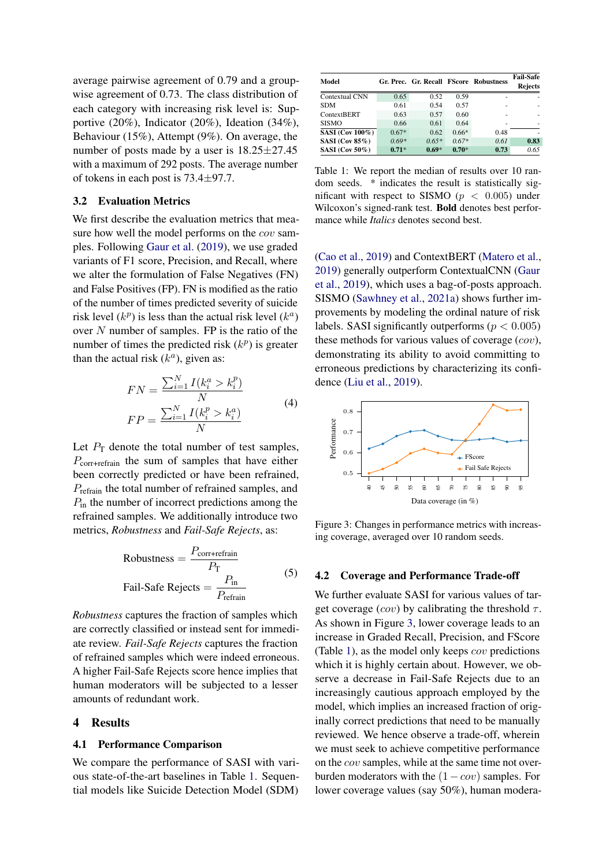average pairwise agreement of 0.79 and a groupwise agreement of 0.73. The class distribution of each category with increasing risk level is: Supportive (20%), Indicator (20%), Ideation (34%), Behaviour (15%), Attempt (9%). On average, the number of posts made by a user is 18.25±27.45 with a maximum of 292 posts. The average number of tokens in each post is 73.4±97.7.

### 3.2 Evaluation Metrics

We first describe the evaluation metrics that measure how well the model performs on the cov samples. Following [Gaur et al.](#page-7-6) [\(2019\)](#page-7-6), we use graded variants of F1 score, Precision, and Recall, where we alter the formulation of False Negatives (FN) and False Positives (FP). FN is modified as the ratio of the number of times predicted severity of suicide risk level  $(k^p)$  is less than the actual risk level  $(k^a)$ over  $N$  number of samples. FP is the ratio of the number of times the predicted risk  $(k^p)$  is greater than the actual risk  $(k^a)$ , given as:

$$
FN = \frac{\sum_{i=1}^{N} I(k_i^a > k_i^p)}{N}
$$
  
 
$$
FP = \frac{\sum_{i=1}^{N} I(k_i^p > k_i^a)}{N}
$$
 (4)

Let  $P_T$  denote the total number of test samples,  $P_{\text{corr+refrain}}$  the sum of samples that have either been correctly predicted or have been refrained, Prefrain the total number of refrained samples, and  $P_{\text{in}}$  the number of incorrect predictions among the refrained samples. We additionally introduce two metrics, *Robustness* and *Fail-Safe Rejects*, as:

Robustness = 
$$
\frac{P_{\text{corr} + \text{refrain}}}{P_{\text{T}}}
$$
 [5]  
Tail-Safe Rejects = 
$$
\frac{P_{\text{in}}}{P_{\text{refrain}}}
$$

*Robustness* captures the fraction of samples which are correctly classified or instead sent for immediate review. *Fail-Safe Rejects* captures the fraction of refrained samples which were indeed erroneous. A higher Fail-Safe Rejects score hence implies that human moderators will be subjected to a lesser amounts of redundant work.

#### 4 Results

#### 4.1 Performance Comparison

We compare the performance of SASI with various state-of-the-art baselines in Table [1.](#page-4-0) Sequential models like Suicide Detection Model (SDM)

<span id="page-4-0"></span>

| Model                  |         |         |         | Gr. Prec. Gr. Recall FScore Robustness | <b>Fail-Safe</b><br><b>Rejects</b> |
|------------------------|---------|---------|---------|----------------------------------------|------------------------------------|
| Contextual CNN         | 0.65    | 0.52    | 0.59    |                                        |                                    |
| <b>SDM</b>             | 0.61    | 0.54    | 0.57    |                                        |                                    |
| <b>ContextBERT</b>     | 0.63    | 0.57    | 0.60    |                                        | ۰                                  |
| <b>SISMO</b>           | 0.66    | 0.61    | 0.64    | ۰                                      | ۰                                  |
| <b>SASI</b> (Cov 100%) | $0.67*$ | 0.62    | $0.66*$ | 0.48                                   |                                    |
| SASI (Cov 85%)         | $0.69*$ | $0.65*$ | $0.67*$ | 0.61                                   | 0.83                               |
| SASI (Cov $50\%$ )     | $0.71*$ | $0.69*$ | $0.70*$ | 0.73                                   | 0.65                               |

Table 1: We report the median of results over 10 random seeds. \* indicates the result is statistically significant with respect to SISMO ( $p < 0.005$ ) under Wilcoxon's signed-rank test. Bold denotes best performance while *Italics* denotes second best.

[\(Cao et al.,](#page-6-1) [2019\)](#page-6-1) and ContextBERT [\(Matero et al.,](#page-7-5) [2019\)](#page-7-5) generally outperform ContextualCNN [\(Gaur](#page-7-6) [et al.,](#page-7-6) [2019\)](#page-7-6), which uses a bag-of-posts approach. SISMO [\(Sawhney et al.,](#page-8-9) [2021a\)](#page-8-9) shows further improvements by modeling the ordinal nature of risk labels. SASI significantly outperforms ( $p < 0.005$ ) these methods for various values of coverage  $(cov)$ , demonstrating its ability to avoid committing to erroneous predictions by characterizing its confidence [\(Liu et al.,](#page-7-12) [2019\)](#page-7-12).

<span id="page-4-1"></span>

Figure 3: Changes in performance metrics with increasing coverage, averaged over 10 random seeds.

#### 4.2 Coverage and Performance Trade-off

We further evaluate SASI for various values of target coverage (cov) by calibrating the threshold  $\tau$ . As shown in Figure [3,](#page-4-1) lower coverage leads to an increase in Graded Recall, Precision, and FScore (Table [1\)](#page-4-0), as the model only keeps cov predictions which it is highly certain about. However, we observe a decrease in Fail-Safe Rejects due to an increasingly cautious approach employed by the model, which implies an increased fraction of originally correct predictions that need to be manually reviewed. We hence observe a trade-off, wherein we must seek to achieve competitive performance on the cov samples, while at the same time not overburden moderators with the  $(1-cov)$  samples. For lower coverage values (say 50%), human modera-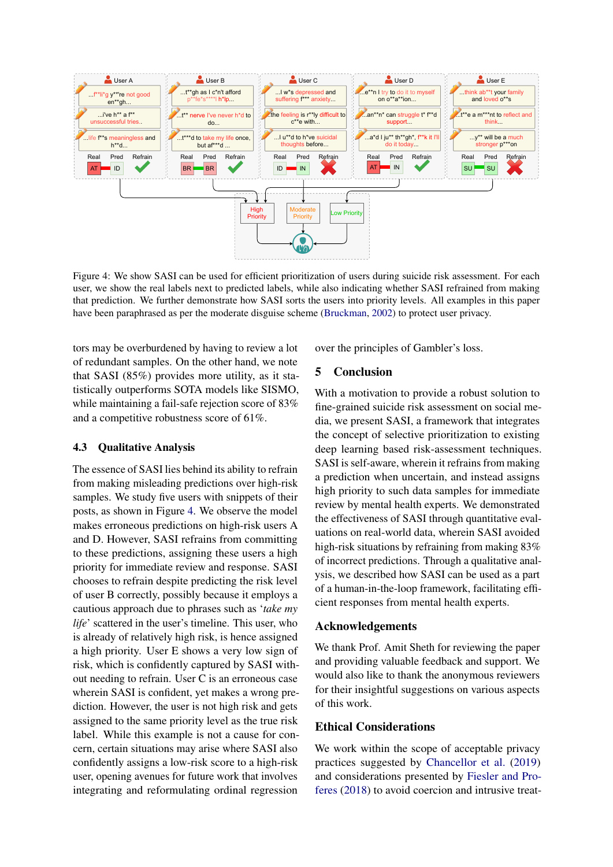<span id="page-5-0"></span>

Figure 4: We show SASI can be used for efficient prioritization of users during suicide risk assessment. For each user, we show the real labels next to predicted labels, while also indicating whether SASI refrained from making that prediction. We further demonstrate how SASI sorts the users into priority levels. All examples in this paper have been paraphrased as per the moderate disguise scheme [\(Bruckman,](#page-6-5) [2002\)](#page-6-5) to protect user privacy.

tors may be overburdened by having to review a lot of redundant samples. On the other hand, we note that SASI (85%) provides more utility, as it statistically outperforms SOTA models like SISMO, while maintaining a fail-safe rejection score of 83% and a competitive robustness score of 61%.

#### 4.3 Qualitative Analysis

The essence of SASI lies behind its ability to refrain from making misleading predictions over high-risk samples. We study five users with snippets of their posts, as shown in Figure [4.](#page-5-0) We observe the model makes erroneous predictions on high-risk users A and D. However, SASI refrains from committing to these predictions, assigning these users a high priority for immediate review and response. SASI chooses to refrain despite predicting the risk level of user B correctly, possibly because it employs a cautious approach due to phrases such as '*take my life*' scattered in the user's timeline. This user, who is already of relatively high risk, is hence assigned a high priority. User E shows a very low sign of risk, which is confidently captured by SASI without needing to refrain. User C is an erroneous case wherein SASI is confident, yet makes a wrong prediction. However, the user is not high risk and gets assigned to the same priority level as the true risk label. While this example is not a cause for concern, certain situations may arise where SASI also confidently assigns a low-risk score to a high-risk user, opening avenues for future work that involves integrating and reformulating ordinal regression

over the principles of Gambler's loss.

# 5 Conclusion

With a motivation to provide a robust solution to fine-grained suicide risk assessment on social media, we present SASI, a framework that integrates the concept of selective prioritization to existing deep learning based risk-assessment techniques. SASI is self-aware, wherein it refrains from making a prediction when uncertain, and instead assigns high priority to such data samples for immediate review by mental health experts. We demonstrated the effectiveness of SASI through quantitative evaluations on real-world data, wherein SASI avoided high-risk situations by refraining from making 83% of incorrect predictions. Through a qualitative analysis, we described how SASI can be used as a part of a human-in-the-loop framework, facilitating efficient responses from mental health experts.

#### Acknowledgements

We thank Prof. Amit Sheth for reviewing the paper and providing valuable feedback and support. We would also like to thank the anonymous reviewers for their insightful suggestions on various aspects of this work.

# Ethical Considerations

We work within the scope of acceptable privacy practices suggested by [Chancellor et al.](#page-6-6) [\(2019\)](#page-6-6) and considerations presented by [Fiesler and Pro](#page-7-13)[feres](#page-7-13) [\(2018\)](#page-7-13) to avoid coercion and intrusive treat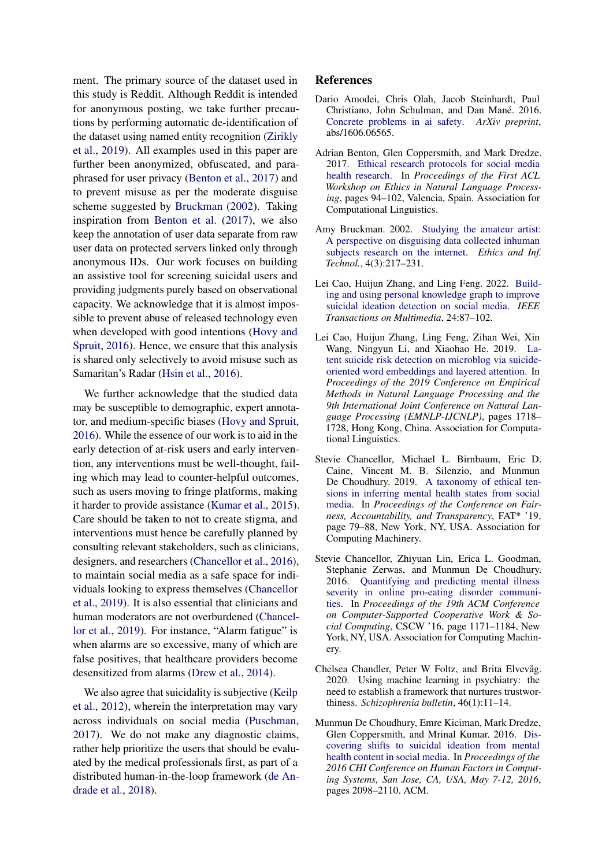ment. The primary source of the dataset used in this study is Reddit. Although Reddit is intended for anonymous posting, we take further precautions by performing automatic de-identification of the dataset using named entity recognition [\(Zirikly](#page-8-13) [et al.,](#page-8-13) [2019\)](#page-8-13). All examples used in this paper are further been anonymized, obfuscated, and paraphrased for user privacy [\(Benton et al.,](#page-6-7) [2017\)](#page-6-7) and to prevent misuse as per the moderate disguise scheme suggested by [Bruckman](#page-6-5) [\(2002\)](#page-6-5). Taking inspiration from [Benton et al.](#page-6-7) [\(2017\)](#page-6-7), we also keep the annotation of user data separate from raw user data on protected servers linked only through anonymous IDs. Our work focuses on building an assistive tool for screening suicidal users and providing judgments purely based on observational capacity. We acknowledge that it is almost impossible to prevent abuse of released technology even when developed with good intentions [\(Hovy and](#page-7-14) [Spruit,](#page-7-14) [2016\)](#page-7-14). Hence, we ensure that this analysis is shared only selectively to avoid misuse such as Samaritan's Radar [\(Hsin et al.,](#page-7-15) [2016\)](#page-7-15).

We further acknowledge that the studied data may be susceptible to demographic, expert annotator, and medium-specific biases [\(Hovy and Spruit,](#page-7-14) [2016\)](#page-7-14). While the essence of our work is to aid in the early detection of at-risk users and early intervention, any interventions must be well-thought, failing which may lead to counter-helpful outcomes, such as users moving to fringe platforms, making it harder to provide assistance [\(Kumar et al.,](#page-7-16) [2015\)](#page-7-16). Care should be taken to not to create stigma, and interventions must hence be carefully planned by consulting relevant stakeholders, such as clinicians, designers, and researchers [\(Chancellor et al.,](#page-6-8) [2016\)](#page-6-8), to maintain social media as a safe space for individuals looking to express themselves [\(Chancellor](#page-6-6) [et al.,](#page-6-6) [2019\)](#page-6-6). It is also essential that clinicians and human moderators are not overburdened [\(Chancel](#page-6-6)[lor et al.,](#page-6-6) [2019\)](#page-6-6). For instance, "Alarm fatigue" is when alarms are so excessive, many of which are false positives, that healthcare providers become desensitized from alarms [\(Drew et al.,](#page-7-17) [2014\)](#page-7-17).

We also agree that suicidality is subjective [\(Keilp](#page-7-18) [et al.,](#page-7-18) [2012\)](#page-7-18), wherein the interpretation may vary across individuals on social media [\(Puschman,](#page-8-14) [2017\)](#page-8-14). We do not make any diagnostic claims, rather help prioritize the users that should be evaluated by the medical professionals first, as part of a distributed human-in-the-loop framework [\(de An](#page-7-19)[drade et al.,](#page-7-19) [2018\)](#page-7-19).

#### References

- <span id="page-6-3"></span>Dario Amodei, Chris Olah, Jacob Steinhardt, Paul Christiano, John Schulman, and Dan Mané. 2016. [Concrete problems in ai safety.](https://arxiv.org/abs/1606.06565) *ArXiv preprint*, abs/1606.06565.
- <span id="page-6-7"></span>Adrian Benton, Glen Coppersmith, and Mark Dredze. 2017. [Ethical research protocols for social media](https://doi.org/10.18653/v1/W17-1612) [health research.](https://doi.org/10.18653/v1/W17-1612) In *Proceedings of the First ACL Workshop on Ethics in Natural Language Processing*, pages 94–102, Valencia, Spain. Association for Computational Linguistics.
- <span id="page-6-5"></span>Amy Bruckman. 2002. [Studying the amateur artist:](https://doi.org/10.1023/A:1021316409277) [A perspective on disguising data collected inhuman](https://doi.org/10.1023/A:1021316409277) [subjects research on the internet.](https://doi.org/10.1023/A:1021316409277) *Ethics and Inf. Technol.*, 4(3):217–231.
- <span id="page-6-2"></span>Lei Cao, Huijun Zhang, and Ling Feng. 2022. [Build](https://doi.org/10.1109/TMM.2020.3046867)[ing and using personal knowledge graph to improve](https://doi.org/10.1109/TMM.2020.3046867) [suicidal ideation detection on social media.](https://doi.org/10.1109/TMM.2020.3046867) *IEEE Transactions on Multimedia*, 24:87–102.
- <span id="page-6-1"></span>Lei Cao, Huijun Zhang, Ling Feng, Zihan Wei, Xin Wang, Ningyun Li, and Xiaohao He. 2019. [La](https://doi.org/10.18653/v1/D19-1181)[tent suicide risk detection on microblog via suicide](https://doi.org/10.18653/v1/D19-1181)[oriented word embeddings and layered attention.](https://doi.org/10.18653/v1/D19-1181) In *Proceedings of the 2019 Conference on Empirical Methods in Natural Language Processing and the 9th International Joint Conference on Natural Language Processing (EMNLP-IJCNLP)*, pages 1718– 1728, Hong Kong, China. Association for Computational Linguistics.
- <span id="page-6-6"></span>Stevie Chancellor, Michael L. Birnbaum, Eric D. Caine, Vincent M. B. Silenzio, and Munmun De Choudhury. 2019. [A taxonomy of ethical ten](https://doi.org/10.1145/3287560.3287587)[sions in inferring mental health states from social](https://doi.org/10.1145/3287560.3287587) [media.](https://doi.org/10.1145/3287560.3287587) In *Proceedings of the Conference on Fairness, Accountability, and Transparency*, FAT\* '19, page 79–88, New York, NY, USA. Association for Computing Machinery.
- <span id="page-6-8"></span>Stevie Chancellor, Zhiyuan Lin, Erica L. Goodman, Stephanie Zerwas, and Munmun De Choudhury. 2016. [Quantifying and predicting mental illness](https://doi.org/10.1145/2818048.2819973) [severity in online pro-eating disorder communi](https://doi.org/10.1145/2818048.2819973)[ties.](https://doi.org/10.1145/2818048.2819973) In *Proceedings of the 19th ACM Conference on Computer-Supported Cooperative Work & Social Computing*, CSCW '16, page 1171–1184, New York, NY, USA. Association for Computing Machinery.
- <span id="page-6-4"></span>Chelsea Chandler, Peter W Foltz, and Brita Elvevåg. 2020. Using machine learning in psychiatry: the need to establish a framework that nurtures trustworthiness. *Schizophrenia bulletin*, 46(1):11–14.
- <span id="page-6-0"></span>Munmun De Choudhury, Emre Kiciman, Mark Dredze, Glen Coppersmith, and Mrinal Kumar. 2016. [Dis](https://doi.org/10.1145/2858036.2858207)[covering shifts to suicidal ideation from mental](https://doi.org/10.1145/2858036.2858207) [health content in social media.](https://doi.org/10.1145/2858036.2858207) In *Proceedings of the 2016 CHI Conference on Human Factors in Computing Systems, San Jose, CA, USA, May 7-12, 2016*, pages 2098–2110. ACM.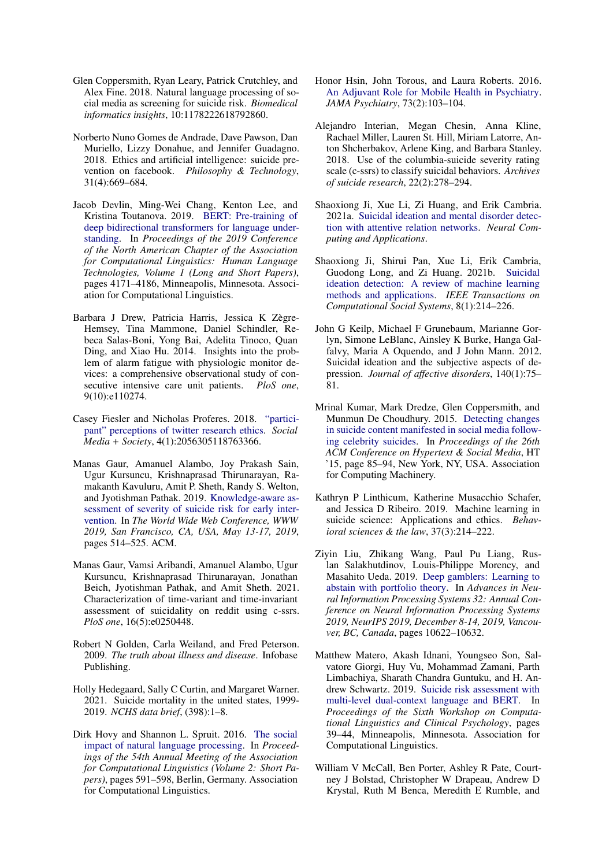- <span id="page-7-3"></span>Glen Coppersmith, Ryan Leary, Patrick Crutchley, and Alex Fine. 2018. Natural language processing of social media as screening for suicide risk. *Biomedical informatics insights*, 10:1178222618792860.
- <span id="page-7-19"></span>Norberto Nuno Gomes de Andrade, Dave Pawson, Dan Muriello, Lizzy Donahue, and Jennifer Guadagno. 2018. Ethics and artificial intelligence: suicide prevention on facebook. *Philosophy & Technology*, 31(4):669–684.
- <span id="page-7-11"></span>Jacob Devlin, Ming-Wei Chang, Kenton Lee, and Kristina Toutanova. 2019. [BERT: Pre-training of](https://doi.org/10.18653/v1/N19-1423) [deep bidirectional transformers for language under](https://doi.org/10.18653/v1/N19-1423)[standing.](https://doi.org/10.18653/v1/N19-1423) In *Proceedings of the 2019 Conference of the North American Chapter of the Association for Computational Linguistics: Human Language Technologies, Volume 1 (Long and Short Papers)*, pages 4171–4186, Minneapolis, Minnesota. Association for Computational Linguistics.
- <span id="page-7-17"></span>Barbara J Drew, Patricia Harris, Jessica K Zègre-Hemsey, Tina Mammone, Daniel Schindler, Rebeca Salas-Boni, Yong Bai, Adelita Tinoco, Quan Ding, and Xiao Hu. 2014. Insights into the problem of alarm fatigue with physiologic monitor devices: a comprehensive observational study of consecutive intensive care unit patients. *PloS one*, 9(10):e110274.
- <span id="page-7-13"></span>Casey Fiesler and Nicholas Proferes. 2018. ["partici](https://doi.org/10.1177/2056305118763366)[pant" perceptions of twitter research ethics.](https://doi.org/10.1177/2056305118763366) *Social Media + Society*, 4(1):2056305118763366.
- <span id="page-7-6"></span>Manas Gaur, Amanuel Alambo, Joy Prakash Sain, Ugur Kursuncu, Krishnaprasad Thirunarayan, Ramakanth Kavuluru, Amit P. Sheth, Randy S. Welton, and Jyotishman Pathak. 2019. [Knowledge-aware as](https://doi.org/10.1145/3308558.3313698)[sessment of severity of suicide risk for early inter](https://doi.org/10.1145/3308558.3313698)[vention.](https://doi.org/10.1145/3308558.3313698) In *The World Wide Web Conference, WWW 2019, San Francisco, CA, USA, May 13-17, 2019*, pages 514–525. ACM.
- <span id="page-7-9"></span>Manas Gaur, Vamsi Aribandi, Amanuel Alambo, Ugur Kursuncu, Krishnaprasad Thirunarayan, Jonathan Beich, Jyotishman Pathak, and Amit Sheth. 2021. Characterization of time-variant and time-invariant assessment of suicidality on reddit using c-ssrs. *PloS one*, 16(5):e0250448.
- <span id="page-7-1"></span>Robert N Golden, Carla Weiland, and Fred Peterson. 2009. *The truth about illness and disease*. Infobase Publishing.
- <span id="page-7-0"></span>Holly Hedegaard, Sally C Curtin, and Margaret Warner. 2021. Suicide mortality in the united states, 1999- 2019. *NCHS data brief*, (398):1–8.
- <span id="page-7-14"></span>Dirk Hovy and Shannon L. Spruit. 2016. [The social](https://doi.org/10.18653/v1/P16-2096) [impact of natural language processing.](https://doi.org/10.18653/v1/P16-2096) In *Proceedings of the 54th Annual Meeting of the Association for Computational Linguistics (Volume 2: Short Papers)*, pages 591–598, Berlin, Germany. Association for Computational Linguistics.
- <span id="page-7-15"></span>Honor Hsin, John Torous, and Laura Roberts. 2016. [An Adjuvant Role for Mobile Health in Psychiatry.](https://doi.org/10.1001/jamapsychiatry.2015.2839) *JAMA Psychiatry*, 73(2):103–104.
- <span id="page-7-7"></span>Alejandro Interian, Megan Chesin, Anna Kline, Rachael Miller, Lauren St. Hill, Miriam Latorre, Anton Shcherbakov, Arlene King, and Barbara Stanley. 2018. Use of the columbia-suicide severity rating scale (c-ssrs) to classify suicidal behaviors. *Archives of suicide research*, 22(2):278–294.
- <span id="page-7-10"></span>Shaoxiong Ji, Xue Li, Zi Huang, and Erik Cambria. 2021a. [Suicidal ideation and mental disorder detec](https://doi.org/10.1007/s00521-021-06208-y)[tion with attentive relation networks.](https://doi.org/10.1007/s00521-021-06208-y) *Neural Computing and Applications*.
- <span id="page-7-2"></span>Shaoxiong Ji, Shirui Pan, Xue Li, Erik Cambria, Guodong Long, and Zi Huang. 2021b. [Suicidal](https://doi.org/10.1109/TCSS.2020.3021467) [ideation detection: A review of machine learning](https://doi.org/10.1109/TCSS.2020.3021467) [methods and applications.](https://doi.org/10.1109/TCSS.2020.3021467) *IEEE Transactions on Computational Social Systems*, 8(1):214–226.
- <span id="page-7-18"></span>John G Keilp, Michael F Grunebaum, Marianne Gorlyn, Simone LeBlanc, Ainsley K Burke, Hanga Galfalvy, Maria A Oquendo, and J John Mann. 2012. Suicidal ideation and the subjective aspects of depression. *Journal of affective disorders*, 140(1):75– 81.
- <span id="page-7-16"></span>Mrinal Kumar, Mark Dredze, Glen Coppersmith, and Munmun De Choudhury. 2015. [Detecting changes](https://doi.org/10.1145/2700171.2791026) [in suicide content manifested in social media follow](https://doi.org/10.1145/2700171.2791026)[ing celebrity suicides.](https://doi.org/10.1145/2700171.2791026) In *Proceedings of the 26th ACM Conference on Hypertext & Social Media*, HT '15, page 85–94, New York, NY, USA. Association for Computing Machinery.
- <span id="page-7-4"></span>Kathryn P Linthicum, Katherine Musacchio Schafer, and Jessica D Ribeiro. 2019. Machine learning in suicide science: Applications and ethics. *Behavioral sciences & the law*, 37(3):214–222.
- <span id="page-7-12"></span>Ziyin Liu, Zhikang Wang, Paul Pu Liang, Ruslan Salakhutdinov, Louis-Philippe Morency, and Masahito Ueda. 2019. [Deep gamblers: Learning to](https://proceedings.neurips.cc/paper/2019/hash/0c4b1eeb45c90b52bfb9d07943d855ab-Abstract.html) [abstain with portfolio theory.](https://proceedings.neurips.cc/paper/2019/hash/0c4b1eeb45c90b52bfb9d07943d855ab-Abstract.html) In *Advances in Neural Information Processing Systems 32: Annual Conference on Neural Information Processing Systems 2019, NeurIPS 2019, December 8-14, 2019, Vancouver, BC, Canada*, pages 10622–10632.
- <span id="page-7-5"></span>Matthew Matero, Akash Idnani, Youngseo Son, Salvatore Giorgi, Huy Vu, Mohammad Zamani, Parth Limbachiya, Sharath Chandra Guntuku, and H. Andrew Schwartz. 2019. [Suicide risk assessment with](https://doi.org/10.18653/v1/W19-3005) [multi-level dual-context language and BERT.](https://doi.org/10.18653/v1/W19-3005) In *Proceedings of the Sixth Workshop on Computational Linguistics and Clinical Psychology*, pages 39–44, Minneapolis, Minnesota. Association for Computational Linguistics.
- <span id="page-7-8"></span>William V McCall, Ben Porter, Ashley R Pate, Courtney J Bolstad, Christopher W Drapeau, Andrew D Krystal, Ruth M Benca, Meredith E Rumble, and